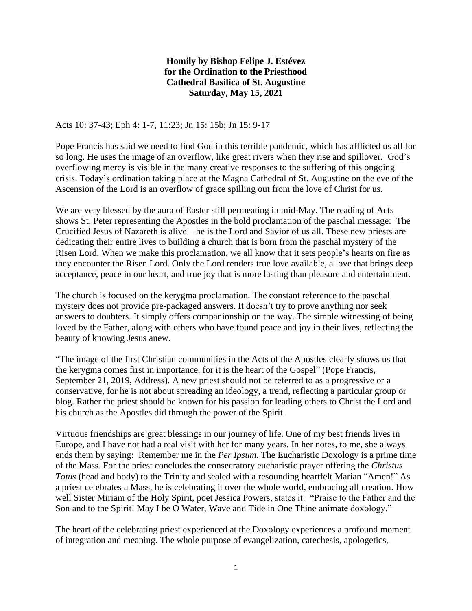## **Homily by Bishop Felipe J. Estévez for the Ordination to the Priesthood Cathedral Basilica of St. Augustine Saturday, May 15, 2021**

Acts 10: 37-43; Eph 4: 1-7, 11:23; Jn 15: 15b; Jn 15: 9-17

Pope Francis has said we need to find God in this terrible pandemic, which has afflicted us all for so long. He uses the image of an overflow, like great rivers when they rise and spillover. God's overflowing mercy is visible in the many creative responses to the suffering of this ongoing crisis. Today's ordination taking place at the Magna Cathedral of St. Augustine on the eve of the Ascension of the Lord is an overflow of grace spilling out from the love of Christ for us.

We are very blessed by the aura of Easter still permeating in mid-May. The reading of Acts shows St. Peter representing the Apostles in the bold proclamation of the paschal message: The Crucified Jesus of Nazareth is alive – he is the Lord and Savior of us all. These new priests are dedicating their entire lives to building a church that is born from the paschal mystery of the Risen Lord. When we make this proclamation, we all know that it sets people's hearts on fire as they encounter the Risen Lord. Only the Lord renders true love available, a love that brings deep acceptance, peace in our heart, and true joy that is more lasting than pleasure and entertainment.

The church is focused on the kerygma proclamation. The constant reference to the paschal mystery does not provide pre-packaged answers. It doesn't try to prove anything nor seek answers to doubters. It simply offers companionship on the way. The simple witnessing of being loved by the Father, along with others who have found peace and joy in their lives, reflecting the beauty of knowing Jesus anew.

"The image of the first Christian communities in the Acts of the Apostles clearly shows us that the kerygma comes first in importance, for it is the heart of the Gospel" (Pope Francis, September 21, 2019, Address). A new priest should not be referred to as a progressive or a conservative, for he is not about spreading an ideology, a trend, reflecting a particular group or blog. Rather the priest should be known for his passion for leading others to Christ the Lord and his church as the Apostles did through the power of the Spirit.

Virtuous friendships are great blessings in our journey of life. One of my best friends lives in Europe, and I have not had a real visit with her for many years. In her notes, to me, she always ends them by saying: Remember me in the *Per Ipsum*. The Eucharistic Doxology is a prime time of the Mass. For the priest concludes the consecratory eucharistic prayer offering the *Christus Totus* (head and body) to the Trinity and sealed with a resounding heartfelt Marian "Amen!" As a priest celebrates a Mass, he is celebrating it over the whole world, embracing all creation. How well Sister Miriam of the Holy Spirit, poet Jessica Powers, states it: "Praise to the Father and the Son and to the Spirit! May I be O Water, Wave and Tide in One Thine animate doxology."

The heart of the celebrating priest experienced at the Doxology experiences a profound moment of integration and meaning. The whole purpose of evangelization, catechesis, apologetics,